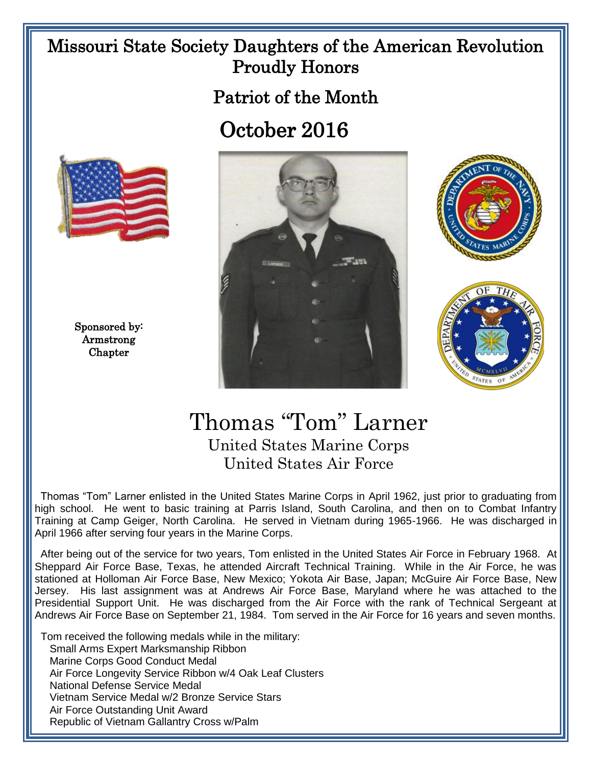## Missouri State Society Daughters of the American Revolution Proudly Honors

Patriot of the Month

## October 2016



Sponsored by: Armstrong Chapter







## Thomas "Tom" Larner United States Marine Corps United States Air Force

 Thomas "Tom" Larner enlisted in the United States Marine Corps in April 1962, just prior to graduating from high school. He went to basic training at Parris Island, South Carolina, and then on to Combat Infantry Training at Camp Geiger, North Carolina. He served in Vietnam during 1965-1966. He was discharged in April 1966 after serving four years in the Marine Corps.

 After being out of the service for two years, Tom enlisted in the United States Air Force in February 1968. At Sheppard Air Force Base, Texas, he attended Aircraft Technical Training. While in the Air Force, he was stationed at Holloman Air Force Base, New Mexico; Yokota Air Base, Japan; McGuire Air Force Base, New Jersey. His last assignment was at Andrews Air Force Base, Maryland where he was attached to the Presidential Support Unit. He was discharged from the Air Force with the rank of Technical Sergeant at Andrews Air Force Base on September 21, 1984. Tom served in the Air Force for 16 years and seven months.

 Tom received the following medals while in the military: Small Arms Expert Marksmanship Ribbon Marine Corps Good Conduct Medal Air Force Longevity Service Ribbon w/4 Oak Leaf Clusters National Defense Service Medal Vietnam Service Medal w/2 Bronze Service Stars Air Force Outstanding Unit Award Republic of Vietnam Gallantry Cross w/Palm